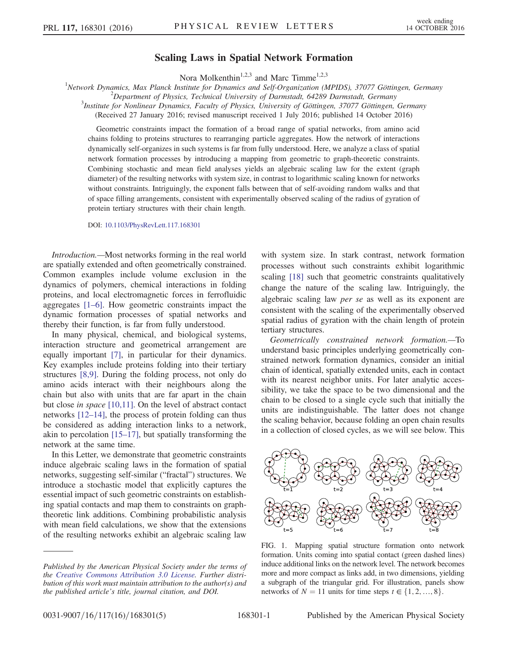## Scaling Laws in Spatial Network Formation

Nora Molkenthin<sup>1,2,3</sup> and Marc Timme<sup>1,2,3</sup>

<sup>1</sup>Network Dynamics, Max Planck Institute for Dynamics and Self-Organization (MPIDS), 37077 Göttingen, Germany

 $^2$ Department of Physics, Technical University of Darmstadt, 64289 Darmstadt, Germany

 $3$ Institute for Nonlinear Dynamics, Faculty of Physics, University of Göttingen, 37077 Göttingen, Germany

(Received 27 January 2016; revised manuscript received 1 July 2016; published 14 October 2016)

Geometric constraints impact the formation of a broad range of spatial networks, from amino acid chains folding to proteins structures to rearranging particle aggregates. How the network of interactions dynamically self-organizes in such systems is far from fully understood. Here, we analyze a class of spatial network formation processes by introducing a mapping from geometric to graph-theoretic constraints. Combining stochastic and mean field analyses yields an algebraic scaling law for the extent (graph diameter) of the resulting networks with system size, in contrast to logarithmic scaling known for networks without constraints. Intriguingly, the exponent falls between that of self-avoiding random walks and that of space filling arrangements, consistent with experimentally observed scaling of the radius of gyration of protein tertiary structures with their chain length.

DOI: [10.1103/PhysRevLett.117.168301](http://dx.doi.org/10.1103/PhysRevLett.117.168301)

Introduction.—Most networks forming in the real world are spatially extended and often geometrically constrained. Common examples include volume exclusion in the dynamics of polymers, chemical interactions in folding proteins, and local electromagnetic forces in ferrofluidic aggregates [\[1](#page-4-0)–6]. How geometric constraints impact the dynamic formation processes of spatial networks and thereby their function, is far from fully understood.

In many physical, chemical, and biological systems, interaction structure and geometrical arrangement are equally important [\[7\],](#page-4-1) in particular for their dynamics. Key examples include proteins folding into their tertiary structures [\[8,9\]](#page-4-2). During the folding process, not only do amino acids interact with their neighbours along the chain but also with units that are far apart in the chain but close in space [\[10,11\].](#page-4-3) On the level of abstract contact networks [12–[14\],](#page-4-4) the process of protein folding can thus be considered as adding interaction links to a network, akin to percolation [\[15](#page-4-5)–17], but spatially transforming the network at the same time.

In this Letter, we demonstrate that geometric constraints induce algebraic scaling laws in the formation of spatial networks, suggesting self-similar ("fractal") structures. We introduce a stochastic model that explicitly captures the essential impact of such geometric constraints on establishing spatial contacts and map them to constraints on graphtheoretic link additions. Combining probabilistic analysis with mean field calculations, we show that the extensions of the resulting networks exhibit an algebraic scaling law with system size. In stark contrast, network formation processes without such constraints exhibit logarithmic scaling [\[18\]](#page-4-6) such that geometric constraints qualitatively change the nature of the scaling law. Intriguingly, the algebraic scaling law per se as well as its exponent are consistent with the scaling of the experimentally observed spatial radius of gyration with the chain length of protein tertiary structures.

Geometrically constrained network formation.—To understand basic principles underlying geometrically constrained network formation dynamics, consider an initial chain of identical, spatially extended units, each in contact with its nearest neighbor units. For later analytic accessibility, we take the space to be two dimensional and the chain to be closed to a single cycle such that initially the units are indistinguishable. The latter does not change the scaling behavior, because folding an open chain results in a collection of closed cycles, as we will see below. This

<span id="page-0-0"></span>

FIG. 1. Mapping spatial structure formation onto network formation. Units coming into spatial contact (green dashed lines) induce additional links on the network level. The network becomes more and more compact as links add, in two dimensions, yielding a subgraph of the triangular grid. For illustration, panels show networks of  $N = 11$  units for time steps  $t \in \{1, 2, ..., 8\}$ .

0031-9007/16/117(16)/168301(5) 168301-1 Published by the American Physical Society

Published by the American Physical Society under the terms of the [Creative Commons Attribution 3.0 License.](http://creativecommons.org/licenses/by/3.0/) Further distribution of this work must maintain attribution to the author(s) and the published article's title, journal citation, and DOI.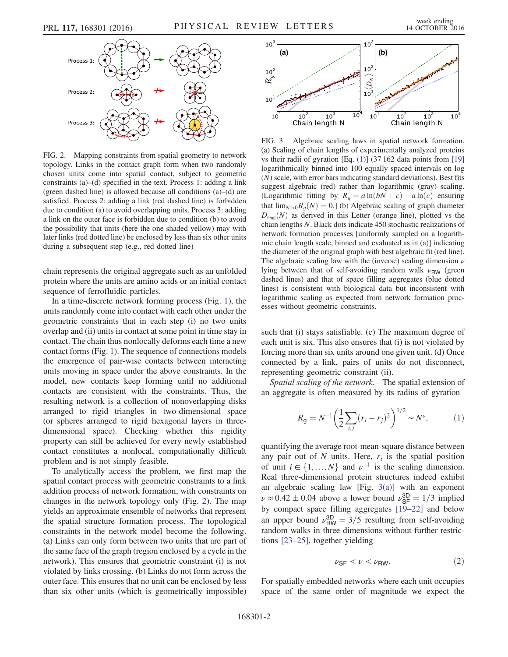<span id="page-1-0"></span>

FIG. 2. Mapping constraints from spatial geometry to network topology. Links in the contact graph form when two randomly chosen units come into spatial contact, subject to geometric constraints (a)–(d) specified in the text. Process 1: adding a link (green dashed line) is allowed because all conditions (a)–(d) are satisfied. Process 2: adding a link (red dashed line) is forbidden due to condition (a) to avoid overlapping units. Process 3: adding a link on the outer face is forbidden due to condition (b) to avoid the possibility that units (here the one shaded yellow) may with later links (red dotted line) be enclosed by less than six other units during a subsequent step (e.g., red dotted line)

chain represents the original aggregate such as an unfolded protein where the units are amino acids or an initial contact sequence of ferrofluidic particles.

In a time-discrete network forming process (Fig. [1](#page-0-0)), the units randomly come into contact with each other under the geometric constraints that in each step (i) no two units overlap and (ii) units in contact at some point in time stay in contact. The chain thus nonlocally deforms each time a new contact forms (Fig. [1\)](#page-0-0). The sequence of connections models the emergence of pair-wise contacts between interacting units moving in space under the above constraints. In the model, new contacts keep forming until no additional contacts are consistent with the constraints. Thus, the resulting network is a collection of nonoverlapping disks arranged to rigid triangles in two-dimensional space (or spheres arranged to rigid hexagonal layers in threedimensional space). Checking whether this rigidity property can still be achieved for every newly established contact constitutes a nonlocal, computationally difficult problem and is not simply feasible.

To analytically access the problem, we first map the spatial contact process with geometric constraints to a link addition process of network formation, with constraints on changes in the network topology only (Fig. [2\)](#page-1-0). The map yields an approximate ensemble of networks that represent the spatial structure formation process. The topological constraints in the network model become the following. (a) Links can only form between two units that are part of the same face of the graph (region enclosed by a cycle in the network). This ensures that geometric constraint (i) is not violated by links crossing. (b) Links do not form across the outer face. This ensures that no unit can be enclosed by less than six other units (which is geometrically impossible)

<span id="page-1-1"></span>

FIG. 3. Algebraic scaling laws in spatial network formation. (a) Scaling of chain lengths of experimentally analyzed proteins vs their radii of gyration [Eq. [\(1\)](#page-1-2)] (37 162 data points from [\[19\]](#page-4-7) logarithmically binned into 100 equally spaced intervals on log (N) scale, with error bars indicating standard deviations). Best fits suggest algebraic (red) rather than logarithmic (gray) scaling. [Logarithmic fitting by  $R_q = a \ln(bN + c) - a \ln(c)$  ensuring that  $\lim_{N\to 0}R_g(N) = 0.$  (b) Algebraic scaling of graph diameter  $D_{\text{final}}(N)$  as derived in this Letter (orange line), plotted vs the chain lengths N. Black dots indicate 450 stochastic realizations of network formation processes [uniformly sampled on a logarithmic chain length scale, binned and evaluated as in (a)] indicating the diameter of the original graph with best algebraic fit (red line). The algebraic scaling law with the (inverse) scaling dimension  $\nu$ lying between that of self-avoiding random walk  $\nu_{\text{RW}}$  (green dashed lines) and that of space filling aggregates (blue dotted lines) is consistent with biological data but inconsistent with logarithmic scaling as expected from network formation processes without geometric constraints.

such that (i) stays satisfiable. (c) The maximum degree of each unit is six. This also ensures that (i) is not violated by forcing more than six units around one given unit. (d) Once connected by a link, pairs of units do not disconnect, representing geometric constraint (ii).

<span id="page-1-2"></span>Spatial scaling of the network.—The spatial extension of an aggregate is often measured by its radius of gyration

$$
R_{g} = N^{-1} \left(\frac{1}{2} \sum_{i,j} (r_{i} - r_{j})^{2}\right)^{1/2} \sim N^{\nu},\tag{1}
$$

quantifying the average root-mean-square distance between any pair out of N units. Here,  $r_i$  is the spatial position of unit  $i \in \{1, ..., N\}$  and  $\nu^{-1}$  is the scaling dimension. Real three-dimensional protein structures indeed exhibit an algebraic scaling law [Fig. [3\(a\)\]](#page-1-1) with an exponent  $\nu \approx 0.42 \pm 0.04$  above a lower bound  $\nu_{\rm SF}^{\rm 3D} = 1/3$  implied<br>by compact space filling aggregates  $[19-22]$  and below by compact space filling aggregates [\[19](#page-4-7)–22] and below an upper bound  $\nu_{\text{BW}}^{\text{3D}} = 3/5$  resulting from self-avoiding<br>random walks in three dimensions without further restricrandom walks in three dimensions without further restrictions [23–[25\],](#page-4-8) together yielding

$$
\nu_{\rm SF} < \nu < \nu_{\rm RW}. \tag{2}
$$

<span id="page-1-3"></span>For spatially embedded networks where each unit occupies space of the same order of magnitude we expect the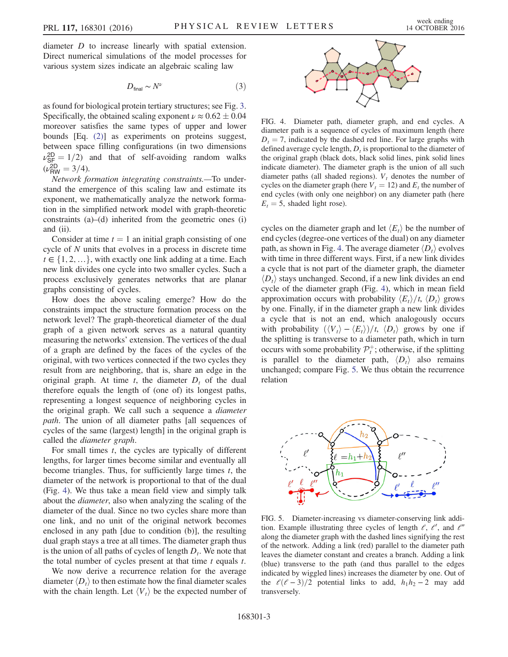diameter D to increase linearly with spatial extension. Direct numerical simulations of the model processes for various system sizes indicate an algebraic scaling law

$$
D_{\text{final}} \sim N^{\nu} \tag{3}
$$

as found for biological protein tertiary structures; see Fig. [3](#page-1-1). Specifically, the obtained scaling exponent  $\nu \approx 0.62 \pm 0.04$ <br>moreover satisfies the same types of upper and lower moreover satisfies the same types of upper and lower bounds [Eq. [\(2\)\]](#page-1-3) as experiments on proteins suggest, between space filling configurations (in two dimensions  $v_{\rm SF}^{\rm 2D} = 1/2$ ) and that of self-avoiding random walks<br>  $(v_{\rm RW}^{\rm 2D} = 3/4)$ .<br>
Network formation integrating constraints —To under-

Network formation integrating constraints.—To understand the emergence of this scaling law and estimate its exponent, we mathematically analyze the network formation in the simplified network model with graph-theoretic constraints (a)–(d) inherited from the geometric ones (i) and (ii).

Consider at time  $t = 1$  an initial graph consisting of one cycle of N units that evolves in a process in discrete time  $t \in \{1, 2, ...\}$ , with exactly one link adding at a time. Each new link divides one cycle into two smaller cycles. Such a process exclusively generates networks that are planar graphs consisting of cycles.

How does the above scaling emerge? How do the constraints impact the structure formation process on the network level? The graph-theoretical diameter of the dual graph of a given network serves as a natural quantity measuring the networks' extension. The vertices of the dual of a graph are defined by the faces of the cycles of the original, with two vertices connected if the two cycles they result from are neighboring, that is, share an edge in the original graph. At time t, the diameter  $D_t$  of the dual therefore equals the length of (one of) its longest paths, representing a longest sequence of neighboring cycles in the original graph. We call such a sequence a diameter path. The union of all diameter paths [all sequences of cycles of the same (largest) length] in the original graph is called the diameter graph.

For small times  $t$ , the cycles are typically of different lengths, for larger times become similar and eventually all become triangles. Thus, for sufficiently large times  $t$ , the diameter of the network is proportional to that of the dual (Fig. [4\)](#page-2-0). We thus take a mean field view and simply talk about the diameter, also when analyzing the scaling of the diameter of the dual. Since no two cycles share more than one link, and no unit of the original network becomes enclosed in any path [due to condition (b)], the resulting dual graph stays a tree at all times. The diameter graph thus is the union of all paths of cycles of length  $D_t$ . We note that the total number of cycles present at that time  $t$  equals  $t$ .

We now derive a recurrence relation for the average diameter  $\langle D_t \rangle$  to then estimate how the final diameter scales with the chain length. Let  $\langle V_t \rangle$  be the expected number of

<span id="page-2-0"></span>

FIG. 4. Diameter path, diameter graph, and end cycles. A diameter path is a sequence of cycles of maximum length (here  $D_t = 7$ , indicated by the dashed red line. For large graphs with defined average cycle length,  $D_t$  is proportional to the diameter of the original graph (black dots, black solid lines, pink solid lines indicate diameter). The diameter graph is the union of all such diameter paths (all shaded regions).  $V_t$  denotes the number of cycles on the diameter graph (here  $V_t = 12$ ) and  $E_t$  the number of end cycles (with only one neighbor) on any diameter path (here  $E_t = 5$ , shaded light rose).

cycles on the diameter graph and let  $\langle E_t \rangle$  be the number of end cycles (degree-one vertices of the dual) on any diameter path, as shown in Fig. [4.](#page-2-0) The average diameter  $\langle D_t \rangle$  evolves with time in three different ways. First, if a new link divides a cycle that is not part of the diameter graph, the diameter  $\langle D_t \rangle$  stays unchanged. Second, if a new link divides an end cycle of the diameter graph (Fig. [4\)](#page-2-0), which in mean field approximation occurs with probability  $\langle E_t \rangle/t$ ,  $\langle D_t \rangle$  grows by one. Finally, if in the diameter graph a new link divides a cycle that is not an end, which analogously occurs with probability  $(\langle V_t \rangle - \langle E_t \rangle)/t$ ,  $\langle D_t \rangle$  grows by one if the splitting is transverse to a diameter path, which in turn occurs with some probability  $\mathcal{P}_t^+$ ; otherwise, if the splitting<br>is parallel to the diameter path  $\langle D \rangle$  also remains is parallel to the diameter path,  $\langle D_t \rangle$  also remains unchanged; compare Fig. [5](#page-2-1). We thus obtain the recurrence relation

<span id="page-2-2"></span><span id="page-2-1"></span>

FIG. 5. Diameter-increasing vs diameter-conserving link addition. Example illustrating three cycles of length  $\ell$ ,  $\ell'$ , and  $\ell''$ along the diameter graph with the dashed lines signifying the rest of the network. Adding a link (red) parallel to the diameter path leaves the diameter constant and creates a branch. Adding a link (blue) transverse to the path (and thus parallel to the edges indicated by wiggled lines) increases the diameter by one. Out of the  $\ell(\ell-3)/2$  potential links to add,  $h_1h_2 - 2$  may add transversely.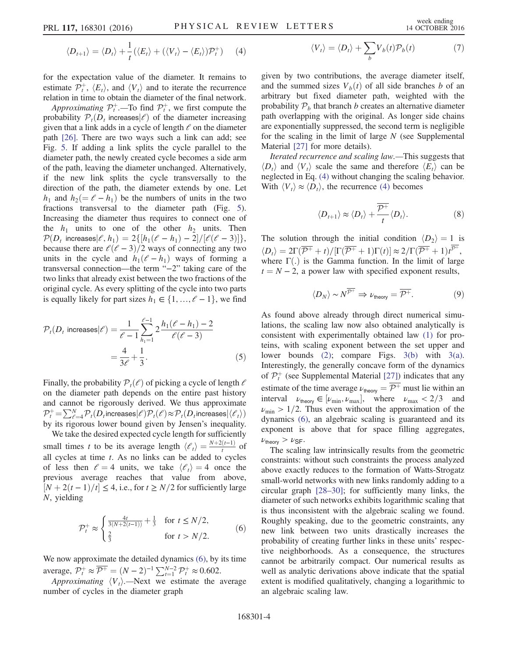$$
\langle D_{t+1} \rangle = \langle D_t \rangle + \frac{1}{t} (\langle E_t \rangle + (\langle V_t \rangle - \langle E_t \rangle) \mathcal{P}_t^+ ) \tag{4}
$$

for the expectation value of the diameter. It remains to estimate  $\mathcal{P}_t^+$ ,  $\langle E_t \rangle$ , and  $\langle V_t \rangle$  and to iterate the recurrence<br>relation in time to obtain the diameter of the final network relation in time to obtain the diameter of the final network.

Approximating  $\mathcal{P}_t^+$ . To find  $\mathcal{P}_t^+$ , we first compute the obtaining  $\mathcal{P}_t(P)$  increasing probability  $P_t(D_t)$  increases  $|\ell\rangle$  of the diameter increasing given that a link adds in a cycle of length  $\ell$  on the diameter path [\[26\].](#page-4-9) There are two ways such a link can add; see Fig. [5.](#page-2-1) If adding a link splits the cycle parallel to the diameter path, the newly created cycle becomes a side arm of the path, leaving the diameter unchanged. Alternatively, if the new link splits the cycle transversally to the direction of the path, the diameter extends by one. Let  $h_1$  and  $h_2(= \ell - h_1)$  be the numbers of units in the two fractions transversal to the diameter path (Fig. [5](#page-2-1)). Increasing the diameter thus requires to connect one of the  $h_1$  units to one of the other  $h_2$  units. Then  $P(D_t \text{ increases}|\ell, h_1) = 2\{[h_1(\ell - h_1) - 2]/[\ell(\ell - 3)]\},$ because there are  $\ell(\ell-3)/2$  ways of connecting any two units in the cycle and  $h_1(\ell - h_1)$  ways of forming a transversal connection—the term "−2" taking care of the two links that already exist between the two fractions of the original cycle. As every splitting of the cycle into two parts is equally likely for part sizes  $h_1 \in \{1, ..., \ell - 1\}$ , we find

$$
\mathcal{P}_{t}(D_{t} \text{ increases}|\ell) = \frac{1}{\ell - 1} \sum_{h_{1}=1}^{\ell - 1} 2 \frac{h_{1}(\ell - h_{1}) - 2}{\ell(\ell - 3)}
$$

$$
= \frac{4}{3\ell} + \frac{1}{3}.
$$
(5)

Finally, the probability  $P_t(\ell)$  of picking a cycle of length  $\ell$ on the diameter path depends on the entire past history and cannot be rigorously derived. We thus approximate  $\mathcal{P}_t^+ = \sum_{\ell=4}^N \mathcal{P}_t(D_t)$ increases $|\ell \rangle \mathcal{P}_t(\ell) \approx \mathcal{P}_t(D_t)$ increases $|\langle \ell_t \rangle$ <br>by its rigorous lower bound given by Jensen's inequality by its rigorous lower bound given by Jensen's inequality.

<span id="page-3-0"></span>We take the desired expected cycle length for sufficiently small times t to be its average length  $\langle \ell_t \rangle = \frac{N+2(t-1)}{t}$  of all cycles at time  $t$ . As no links can be added to cycles of less then  $\ell = 4$  units, we take  $\langle \ell_t \rangle = 4$  once the previous average reaches that value from above,  $[N + 2(t-1)/t] \leq 4$ , i.e., for  $t \geq N/2$  for sufficiently large N, yielding

$$
\mathcal{P}_t^+ \approx \begin{cases} \frac{4t}{3(N+2(t-1))} + \frac{1}{3} & \text{for } t \le N/2, \\ \frac{2}{3} & \text{for } t > N/2. \end{cases} \tag{6}
$$

We now approximate the detailed dynamics  $(6)$ , by its time average,  $\mathcal{P}_t^+ \approx \overline{\mathcal{P}^+} = (N-2)^{-1} \sum_{t=1}^{N-2} \mathcal{P}_t^+ \approx 0.602$ .<br>Approximating  $\langle V \rangle$  —Next, we estimate the

Approximating  $\langle V_t \rangle$ .—Next we estimate the average number of cycles in the diameter graph

$$
\langle V_t \rangle = \langle D_t \rangle + \sum_b V_b(t) \mathcal{P}_b(t) \tag{7}
$$

given by two contributions, the average diameter itself, and the summed sizes  $V_b(t)$  of all side branches b of an arbitrary but fixed diameter path, weighted with the probability  $P<sub>b</sub>$  that branch b creates an alternative diameter path overlapping with the original. As longer side chains are exponentially suppressed, the second term is negligible for the scaling in the limit of large  $N$  (see Supplemental Material [\[27\]](#page-4-10) for more details).

Iterated recurrence and scaling law.—This suggests that  $\langle D_t \rangle$  and  $\langle V_t \rangle$  scale the same and therefore  $\langle E_t \rangle$  can be neglected in Eq. [\(4\)](#page-2-2) without changing the scaling behavior. With  $\langle V_t \rangle \approx \langle D_t \rangle$ , the recurrence [\(4\)](#page-2-2) becomes

$$
\langle D_{t+1} \rangle \approx \langle D_t \rangle + \frac{\overline{\mathcal{P}^+}}{t} \langle D_t \rangle. \tag{8}
$$

The solution through the initial condition  $\langle D_2 \rangle = 1$  is  $\langle D_t \rangle = 2\Gamma(\overline{\mathcal{P}^+} + t)/[\Gamma(\overline{\mathcal{P}^+} + 1)\Gamma(t)] \approx 2/\Gamma(\overline{\mathcal{P}^+} + 1)t^{\mathcal{P}^+},$ <br>where  $\Gamma(\cdot)$  is the Gamma function. In the limit of large where  $\Gamma(.)$  is the Gamma function. In the limit of large  $t = N - 2$ , a power law with specified exponent results,

$$
\langle D_N \rangle \sim N^{\overline{\mathcal{P}^+}} \Rightarrow \nu_{\text{theory}} = \overline{\mathcal{P}^+}.
$$
 (9)

As found above already through direct numerical simulations, the scaling law now also obtained analytically is consistent with experimentally obtained law [\(1\)](#page-1-2) for proteins, with scaling exponent between the set upper and lower bounds [\(2\)](#page-1-3); compare Figs. [3\(b\)](#page-1-1) with [3\(a\)](#page-1-1). Interestingly, the generally concave form of the dynamics of  $\mathcal{P}_t^+$  (see Supplemental Material [\[27\]\)](#page-4-10) indicates that any estimate of the time average  $\nu_{\text{theory}} = \mathcal{P}^+$  must lie within an interval  $\nu_{\text{energy}} \in [\nu_{\text{avg}}]$  where  $\nu_{\text{avg}} \leq 2/3$  and interval  $\nu_{\text{theory}} \in [\nu_{\text{min}}, \nu_{\text{max}}],$  where  $\nu_{\text{max}} < 2/3$  and<br> $\nu_{\text{max}} > 1/2$  Thus even without the approximation of the  $\nu_{\text{min}} > 1/2$ . Thus even without the approximation of the dynamics [\(6\)](#page-3-0), an algebraic scaling is guaranteed and its exponent is above that for space filling aggregates,  $\nu_{\text{theory}} > \nu_{\text{SF}}$ .<br>The scaling

The scaling law intrinsically results from the geometric constraints: without such constraints the process analyzed above exactly reduces to the formation of Watts-Strogatz small-world networks with new links randomly adding to a circular graph [28–[30\];](#page-4-11) for sufficiently many links, the diameter of such networks exhibits logarithmic scaling that is thus inconsistent with the algebraic scaling we found. Roughly speaking, due to the geometric constraints, any new link between two units drastically increases the probability of creating further links in these units' respective neighborhoods. As a consequence, the structures cannot be arbitrarily compact. Our numerical results as well as analytic derivations above indicate that the spatial extent is modified qualitatively, changing a logarithmic to an algebraic scaling law.